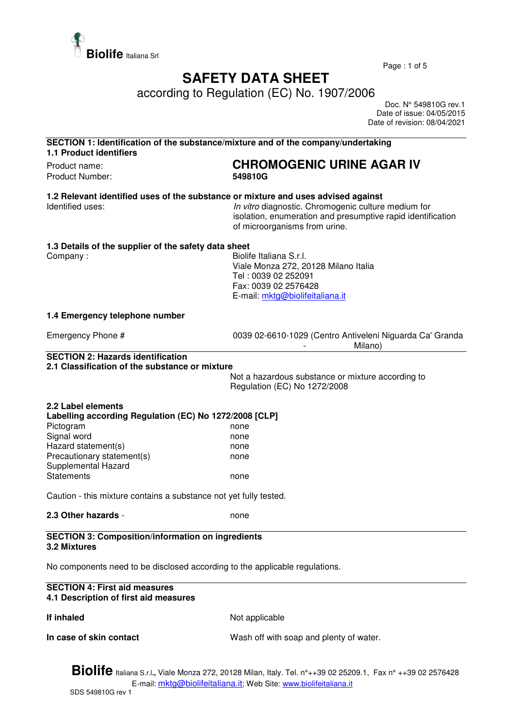

Page : 1 of 5

## **SAFETY DATA SHEET**

according to Regulation (EC) No. 1907/2006

 Doc. N° 549810G rev.1 Date of issue: 04/05/2015 Date of revision: 08/04/2021

| SECTION 1: Identification of the substance/mixture and of the company/undertaking<br><b>1.1 Product identifiers</b> |                                                                                                                                                     |  |
|---------------------------------------------------------------------------------------------------------------------|-----------------------------------------------------------------------------------------------------------------------------------------------------|--|
| Product name:<br>Product Number:                                                                                    | <b>CHROMOGENIC URINE AGAR IV</b><br>549810G                                                                                                         |  |
| 1.2 Relevant identified uses of the substance or mixture and uses advised against<br>Identified uses:               | In vitro diagnostic. Chromogenic culture medium for<br>isolation, enumeration and presumptive rapid identification<br>of microorganisms from urine. |  |
| 1.3 Details of the supplier of the safety data sheet                                                                |                                                                                                                                                     |  |
| Company:                                                                                                            | Biolife Italiana S.r.l.<br>Viale Monza 272, 20128 Milano Italia<br>Tel: 0039 02 252091<br>Fax: 0039 02 2576428<br>E-mail: mktg@biolifeitaliana.it   |  |
| 1.4 Emergency telephone number                                                                                      |                                                                                                                                                     |  |
| Emergency Phone #                                                                                                   | 0039 02-6610-1029 (Centro Antiveleni Niguarda Ca' Granda<br>Milano)                                                                                 |  |
| <b>SECTION 2: Hazards identification</b><br>2.1 Classification of the substance or mixture                          |                                                                                                                                                     |  |
|                                                                                                                     | Not a hazardous substance or mixture according to<br>Regulation (EC) No 1272/2008                                                                   |  |
| 2.2 Label elements                                                                                                  |                                                                                                                                                     |  |
| Labelling according Regulation (EC) No 1272/2008 [CLP]<br>Pictogram                                                 | none                                                                                                                                                |  |
| Signal word                                                                                                         | none                                                                                                                                                |  |
| Hazard statement(s)                                                                                                 | none                                                                                                                                                |  |
| Precautionary statement(s)                                                                                          | none                                                                                                                                                |  |
| Supplemental Hazard                                                                                                 |                                                                                                                                                     |  |
| <b>Statements</b>                                                                                                   | none                                                                                                                                                |  |
| Caution - this mixture contains a substance not yet fully tested.                                                   |                                                                                                                                                     |  |
| 2.3 Other hazards -                                                                                                 | none                                                                                                                                                |  |
| <b>SECTION 3: Composition/information on ingredients</b><br>3.2 Mixtures                                            |                                                                                                                                                     |  |
| No components need to be disclosed according to the applicable regulations.                                         |                                                                                                                                                     |  |
| <b>SECTION 4: First aid measures</b><br>4.1 Description of first aid measures                                       |                                                                                                                                                     |  |
| If inhaled                                                                                                          | Not applicable                                                                                                                                      |  |
| In case of skin contact                                                                                             | Wash off with soap and plenty of water.                                                                                                             |  |

**Biolife** Italiana S.r.l**.,** Viale Monza 272, 20128 Milan, Italy. Tel. n°++39 02 25209.1, Fax n° ++39 02 2576428 E-mail: mktg@biolifeitaliana.it; Web Site: www.biolifeitaliana.it SDS 549810G rev 1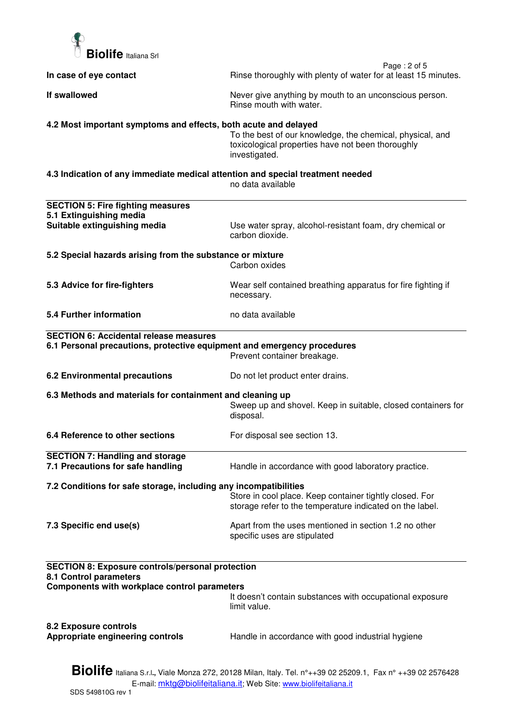

| In case of eye contact                                                                                                                                                                   | Page: 2 of 5<br>Rinse thoroughly with plenty of water for at least 15 minutes.                                                  |  |
|------------------------------------------------------------------------------------------------------------------------------------------------------------------------------------------|---------------------------------------------------------------------------------------------------------------------------------|--|
| If swallowed                                                                                                                                                                             | Never give anything by mouth to an unconscious person.<br>Rinse mouth with water.                                               |  |
| 4.2 Most important symptoms and effects, both acute and delayed                                                                                                                          | To the best of our knowledge, the chemical, physical, and<br>toxicological properties have not been thoroughly<br>investigated. |  |
| 4.3 Indication of any immediate medical attention and special treatment needed                                                                                                           | no data available                                                                                                               |  |
| <b>SECTION 5: Fire fighting measures</b>                                                                                                                                                 |                                                                                                                                 |  |
| 5.1 Extinguishing media<br>Suitable extinguishing media                                                                                                                                  | Use water spray, alcohol-resistant foam, dry chemical or<br>carbon dioxide.                                                     |  |
| 5.2 Special hazards arising from the substance or mixture                                                                                                                                | Carbon oxides                                                                                                                   |  |
| 5.3 Advice for fire-fighters                                                                                                                                                             | Wear self contained breathing apparatus for fire fighting if<br>necessary.                                                      |  |
| 5.4 Further information                                                                                                                                                                  | no data available                                                                                                               |  |
| <b>SECTION 6: Accidental release measures</b>                                                                                                                                            |                                                                                                                                 |  |
| 6.1 Personal precautions, protective equipment and emergency procedures                                                                                                                  | Prevent container breakage.                                                                                                     |  |
| 6.2 Environmental precautions                                                                                                                                                            | Do not let product enter drains.                                                                                                |  |
| 6.3 Methods and materials for containment and cleaning up                                                                                                                                | Sweep up and shovel. Keep in suitable, closed containers for<br>disposal.                                                       |  |
| 6.4 Reference to other sections                                                                                                                                                          | For disposal see section 13.                                                                                                    |  |
| <b>SECTION 7: Handling and storage</b><br>7.1 Precautions for safe handling                                                                                                              | Handle in accordance with good laboratory practice.                                                                             |  |
| 7.2 Conditions for safe storage, including any incompatibilities                                                                                                                         |                                                                                                                                 |  |
|                                                                                                                                                                                          | Store in cool place. Keep container tightly closed. For<br>storage refer to the temperature indicated on the label.             |  |
| 7.3 Specific end use(s)                                                                                                                                                                  | Apart from the uses mentioned in section 1.2 no other<br>specific uses are stipulated                                           |  |
| <b>SECTION 8: Exposure controls/personal protection</b><br>8.1 Control parameters<br>Components with workplace control parameters                                                        |                                                                                                                                 |  |
|                                                                                                                                                                                          | It doesn't contain substances with occupational exposure<br>limit value.                                                        |  |
| 8.2 Exposure controls<br>Appropriate engineering controls                                                                                                                                | Handle in accordance with good industrial hygiene                                                                               |  |
| <b>Biolife</b> Italiana S.r.l., Viale Monza 272, 20128 Milan, Italy. Tel. n°++39 02 25209.1, Fax n° ++39 02 2576428<br>E-mail: mktg@biolifeitaliana.it; Web Site: www.biolifeitaliana.it |                                                                                                                                 |  |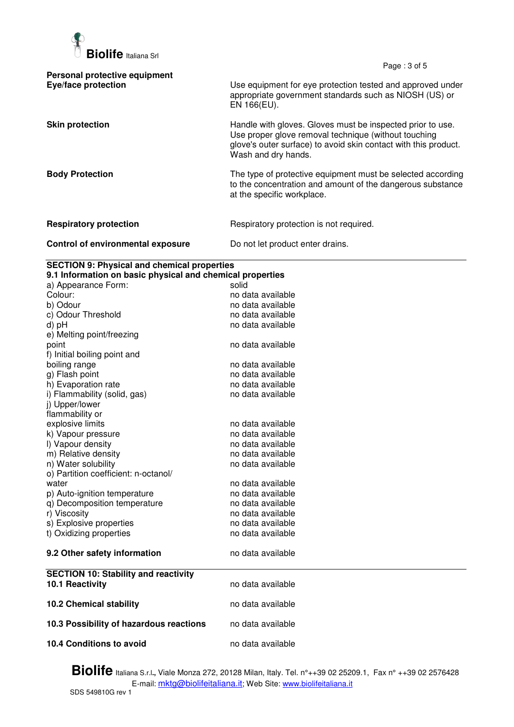

Page : 3 of 5

| Handle with gloves. Gloves must be inspected prior to use.                                                                |
|---------------------------------------------------------------------------------------------------------------------------|
| Use proper glove removal technique (without touching<br>glove's outer surface) to avoid skin contact with this product.   |
| The type of protective equipment must be selected according<br>to the concentration and amount of the dangerous substance |
|                                                                                                                           |
|                                                                                                                           |
|                                                                                                                           |

## **SECTION 9: Physical and chemical properties**

| 9.1 Information on basic physical and chemical properties |                   |  |
|-----------------------------------------------------------|-------------------|--|
| a) Appearance Form:                                       | solid             |  |
| Colour:                                                   | no data available |  |
| b) Odour                                                  | no data available |  |
| c) Odour Threshold                                        | no data available |  |
| d) pH                                                     | no data available |  |
| e) Melting point/freezing                                 |                   |  |
| point                                                     | no data available |  |
| f) Initial boiling point and                              |                   |  |
| boiling range                                             | no data available |  |
| g) Flash point                                            | no data available |  |
| h) Evaporation rate                                       | no data available |  |
| i) Flammability (solid, gas)                              | no data available |  |
| j) Upper/lower                                            |                   |  |
| flammability or                                           |                   |  |
| explosive limits                                          | no data available |  |
| k) Vapour pressure                                        | no data available |  |
| I) Vapour density                                         | no data available |  |
| m) Relative density                                       | no data available |  |
| n) Water solubility                                       | no data available |  |
| o) Partition coefficient: n-octanol/                      |                   |  |
| water                                                     | no data available |  |
| p) Auto-ignition temperature                              | no data available |  |
| q) Decomposition temperature                              | no data available |  |
| r) Viscosity                                              | no data available |  |
| s) Explosive properties                                   | no data available |  |
| t) Oxidizing properties                                   | no data available |  |
|                                                           |                   |  |
| 9.2 Other safety information                              | no data available |  |
|                                                           |                   |  |
| <b>SECTION 10: Stability and reactivity</b>               |                   |  |
| 10.1 Reactivity                                           | no data available |  |
|                                                           |                   |  |
| <b>10.2 Chemical stability</b>                            | no data available |  |
|                                                           |                   |  |
| 10.3 Possibility of hazardous reactions                   | no data available |  |
|                                                           |                   |  |
| 10.4 Conditions to avoid                                  | no data available |  |
|                                                           |                   |  |

**Biolife** Italiana S.r.l**.,** Viale Monza 272, 20128 Milan, Italy. Tel. n°++39 02 25209.1, Fax n° ++39 02 2576428 E-mail: <u>mktg@biolifeitaliana.it</u>; Web Site: www.biolifeitaliana.it SDS 549810G rev 1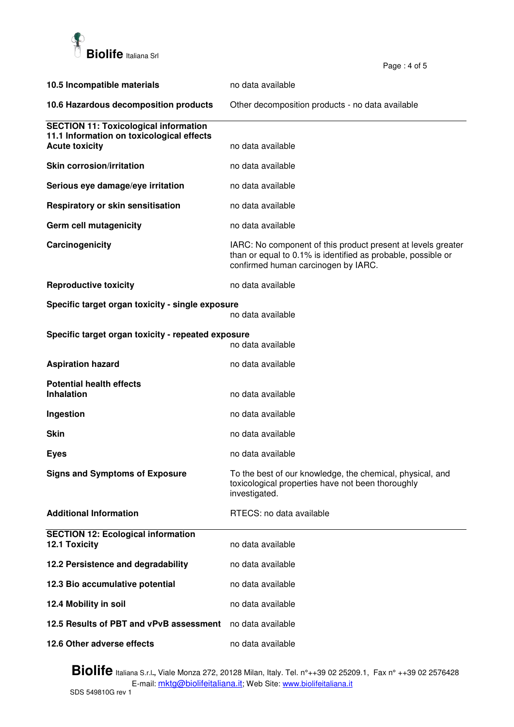

| 10.5 Incompatible materials                                        | no data available                                                                                                                                                   |
|--------------------------------------------------------------------|---------------------------------------------------------------------------------------------------------------------------------------------------------------------|
| 10.6 Hazardous decomposition products                              | Other decomposition products - no data available                                                                                                                    |
| <b>SECTION 11: Toxicological information</b>                       |                                                                                                                                                                     |
| 11.1 Information on toxicological effects<br><b>Acute toxicity</b> | no data available                                                                                                                                                   |
| <b>Skin corrosion/irritation</b>                                   | no data available                                                                                                                                                   |
| Serious eye damage/eye irritation                                  | no data available                                                                                                                                                   |
| <b>Respiratory or skin sensitisation</b>                           | no data available                                                                                                                                                   |
| Germ cell mutagenicity                                             | no data available                                                                                                                                                   |
| Carcinogenicity                                                    | IARC: No component of this product present at levels greater<br>than or equal to 0.1% is identified as probable, possible or<br>confirmed human carcinogen by IARC. |
| <b>Reproductive toxicity</b>                                       | no data available                                                                                                                                                   |
| Specific target organ toxicity - single exposure                   | no data available                                                                                                                                                   |
|                                                                    |                                                                                                                                                                     |
| Specific target organ toxicity - repeated exposure                 | no data available                                                                                                                                                   |
| <b>Aspiration hazard</b>                                           | no data available                                                                                                                                                   |
| <b>Potential health effects</b><br><b>Inhalation</b>               | no data available                                                                                                                                                   |
| Ingestion                                                          | no data available                                                                                                                                                   |
| <b>Skin</b>                                                        | no data available                                                                                                                                                   |
| <b>Eyes</b>                                                        | no data available                                                                                                                                                   |
| <b>Signs and Symptoms of Exposure</b>                              | To the best of our knowledge, the chemical, physical, and<br>toxicological properties have not been thoroughly<br>investigated.                                     |
| <b>Additional Information</b>                                      | RTECS: no data available                                                                                                                                            |
| <b>SECTION 12: Ecological information</b>                          |                                                                                                                                                                     |
| 12.1 Toxicity                                                      | no data available                                                                                                                                                   |
| 12.2 Persistence and degradability                                 | no data available                                                                                                                                                   |
| 12.3 Bio accumulative potential                                    | no data available                                                                                                                                                   |
| 12.4 Mobility in soil                                              | no data available                                                                                                                                                   |
| 12.5 Results of PBT and vPvB assessment                            | no data available                                                                                                                                                   |
| 12.6 Other adverse effects                                         | no data available                                                                                                                                                   |

Page : 4 of 5

**Biolife** Italiana S.r.l**.,** Viale Monza 272, 20128 Milan, Italy. Tel. n°++39 02 25209.1, Fax n° ++39 02 2576428 E-mail: <u>mktg@biolifeitaliana.it</u>; Web Site: www.biolifeitaliana.it SDS 549810G rev 1